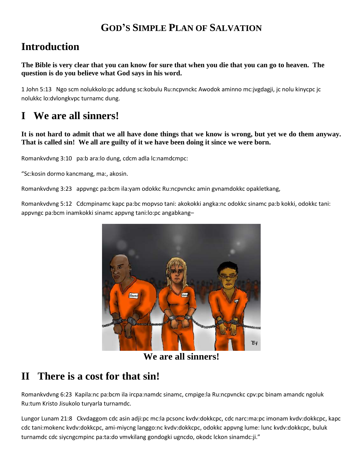### **GOD'S SIMPLE PLAN OF SALVATION**

## **Introduction**

**The Bible is very clear that you can know for sure that when you die that you can go to heaven. The question is do you believe what God says in his word.**

1 John 5:13 Ngo scm nolukkolo:pc addung sc:kobulu Ru:ncpvnckc Awodok aminno mc:jvgdagji, jc nolu kinycpc jc nolukkc lo:dvlongkvpc turnamc dung.

# **I We are all sinners!**

**It is not hard to admit that we all have done things that we know is wrong, but yet we do them anyway. That is called sin! We all are guilty of it we have been doing it since we were born.**

Romankvdvng 3:10 pa:b ara:lo dung, cdcm adla lc:namdcmpc:

"Sc:kosin dormo kancmang, ma:, akosin.

Romankvdvng 3:23 appvngc pa:bcm ila:yam odokkc Ru:ncpvnckc amin gvnamdokkc opakletkang,

Romankvdvng 5:12 Cdcmpinamc kapc pa:bc mopvso tani: akokokki angka:nc odokkc sinamc pa:b kokki, odokkc tani: appvngc pa:bcm inamkokki sinamc appvng tani:lo:pc angabkang–



**We are all sinners!**

### **II There is a cost for that sin!**

Romankvdvng 6:23 Kapila:nc pa:bcm ila ircpa:namdc sinamc, cmpige:la Ru:ncpvnckc cpv:pc binam amandc ngoluk Ru:tum Kristo Jisukolo turyarla turnamdc.

Lungor Lunam 21:8 Ckvdaggom cdc asin adji:pc mc:la pcsonc kvdv:dokkcpc, cdc narc:ma:pc imonam kvdv:dokkcpc, kapc cdc tani:mokenc kvdv:dokkcpc, ami-miycng langgo:nc kvdv:dokkcpc, odokkc appvng lume: lunc kvdv:dokkcpc, buluk turnamdc cdc siycngcmpinc pa:ta:do vmvkilang gondogki ugncdo, okodc lckon sinamdc:ji."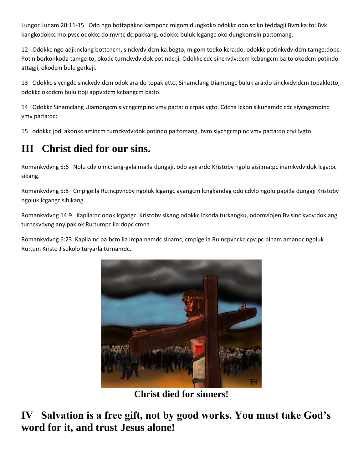Lungor Lunam 20:11-15 Odo ngo bottapaknc kamponc migom dungkoko odokkc odo sc:ko teddagji Bvm ka:to; Bvk kangkodokkc mo:pvsc odokkc do:mvrtc dc:pakkang, odokkc buluk lcgangc oko dungkomsin pa:tomang.

12 Odokkc ngo adji:nclang bottcncm, sinckvdv:dcm ka:begto, migom tedko kcra:do, odokkc potinkvdv:dcm tamge:dopc. Potin borkonkoda tamge:to, okodc turnckvdv:dok potindc:ji. Odokkc cdc sinckvdv:dcm kcbangcm ba:to okodcm potindo attagji, okodcm bulu gerkaji.

13 Odokkc siycngdc sinckvdv:dcm odok ara:do topakletto, Sinamclang Uiamongc buluk ara:do sinckvdv:dcm topakletto, odokkc okodcm bulu itoji appv:dcm kcbangcm ba:to.

14 Odokkc Sinamclang Uiamongcm siycngcmpinc vmv pa:ta:lo crpaklvgto. Cdcna lckon sikunamdc cdc siycngcmpinc vmv pa:ta:dc;

15 odokkc jodi akonkc amincm turnckvdv:dok potindo pa:tomang, bvm siycngcmpinc vmv pa:ta:do cryi:lvgto.

# **III Christ died for our sins.**

Romankvdvng 5:6 Nolu cdvlo mc:lang-gvla:ma:la dungaji, odo ayirardo Kristobv ngolu aisi:ma:pc inamkvdv:dok lcga:pc sikang.

Romankvdvng 5:8 Cmpige:la Ru:ncpvncbv ngoluk lcgangc ayangcm lcngkandag odo cdvlo ngolu papi:la dungaji Kristobv ngoluk lcgangc sibikang.

Romankvdvng 14:9 Kapila:nc odok lcgangci Kristobv sikang odokkc lckoda turkangku, odomvlojen Bv sinc kvdv:doklang turnckvdvng anyipaklok Ru:tumpc ila:dopc cmna.

Romankvdvng 6:23 Kapila:nc pa:bcm ila ircpa:namdc sinamc, cmpige:la Ru:ncpvnckc cpv:pc binam amandc ngoluk Ru:tum Kristo Jisukolo turyarla turnamdc.



**Christ died for sinners!**

**IV Salvation is a free gift, not by good works. You must take God's word for it, and trust Jesus alone!**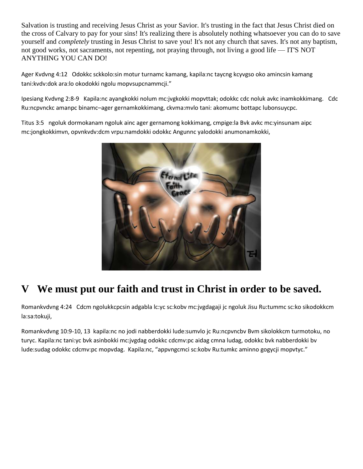Salvation is trusting and receiving Jesus Christ as your Savior. It's trusting in the fact that Jesus Christ died on the cross of Calvary to pay for your sins! It's realizing there is absolutely nothing whatsoever you can do to save yourself and *completely* trusting in Jesus Christ to save you! It's not any church that saves. It's not any baptism, not good works, not sacraments, not repenting, not praying through, not living a good life — IT'S NOT ANYTHING YOU CAN DO!

Ager Kvdvng 4:12 Odokkc sckkolo:sin motur turnamc kamang, kapila:nc taycng kcyvgso oko amincsin kamang tani:kvdv:dok ara:lo okodokki ngolu mopvsupcnammcji."

Ipesiang Kvdvng 2:8-9 Kapila:nc ayangkokki nolum mc:jvgkokki mopvttak; odokkc cdc noluk avkc inamkokkimang. Cdc Ru:ncpvnckc amanpc binamc–ager gernamkokkimang, ckvma:mvlo tani: akomumc bottapc lubonsuycpc.

Titus 3:5 ngoluk dormokanam ngoluk ainc ager gernamong kokkimang, cmpige:la Bvk avkc mc:yinsunam aipc mc:jongkokkimvn, opvnkvdv:dcm vrpu:namdokki odokkc Angunnc yalodokki anumonamkokki,



# **V We must put our faith and trust in Christ in order to be saved.**

Romankvdvng 4:24 Cdcm ngolukkcpcsin adgabla lc:yc sc:kobv mc:jvgdagaji jc ngoluk Jisu Ru:tummc sc:ko sikodokkcm la:sa:tokuji,

Romankvdvng 10:9-10, 13 kapila:nc no jodi nabberdokki lude:sumvlo jc Ru:ncpvncbv Bvm sikolokkcm turmotoku, no turyc. Kapila:nc tani:yc bvk asinbokki mc:jvgdag odokkc cdcmv:pc aidag cmna ludag, odokkc bvk nabberdokki bv lude:sudag odokkc cdcmv:pc mopvdag. Kapila:nc, "appvngcmci sc:kobv Ru:tumkc aminno gogycji mopvtyc."